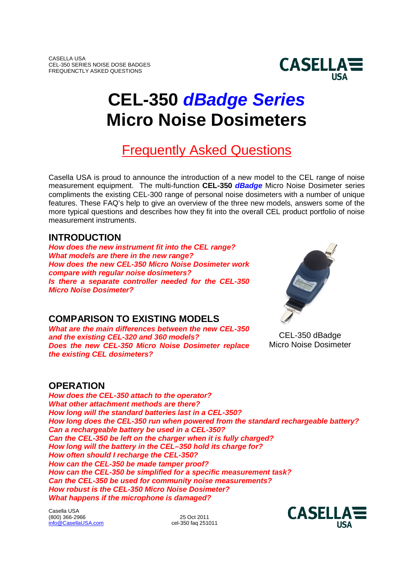

# **CEL-350** *dBadge Series* **Micro Noise Dosimeters**

# Frequently Asked Questions

Casella USA is proud to announce the introduction of a new model to the CEL range of noise measurement equipment. The multi-function **CEL-350** *dBadge* Micro Noise Dosimeter series compliments the existing CEL-300 range of personal noise dosimeters with a number of unique features. These FAQ's help to give an overview of the three new models, answers some of the more typical questions and describes how they fit into the overall CEL product portfolio of noise measurement instruments.

# **INTRODUCTION**

*How does the new instrument fit into the CEL range? What models are there in the new range? How does the new CEL-350 Micro Noise Dosimeter work compare with regular noise dosimeters? Is there a separate controller needed for the CEL-350 Micro Noise Dosimeter?*

# **COMPARISON TO EXISTING MODELS**

*What are the main differences between the new CEL-350 and the existing CEL-320 and 360 models? Does the new CEL-350 Micro Noise Dosimeter replace the existing CEL dosimeters?*

# **OPERATION**

*How does the CEL-350 attach to the operator? What other attachment methods are there? How long will the standard batteries last in a CEL-350? How long does the CEL-350 run when powered from the standard rechargeable battery? Can a rechargeable battery be used in a CEL-350? Can the CEL-350 be left on the charger when it is fully charged? How long will the battery in the CEL–350 hold its charge for? How often should I recharge the CEL-350? How can the CEL-350 be made tamper proof? How can the CEL-350 be simplified for a specific measurement task? Can the CEL-350 be used for community noise measurements? How robust is the CEL-350 Micro Noise Dosimeter? What happens if the microphone is damaged?*

Casella USA (800) 366-2966 25 Oct 2011<br>
info@CasellaUSA.com 25 Oct 2011 info@CasellaUSA.com



CEL-350 dBadge Micro Noise Dosimeter

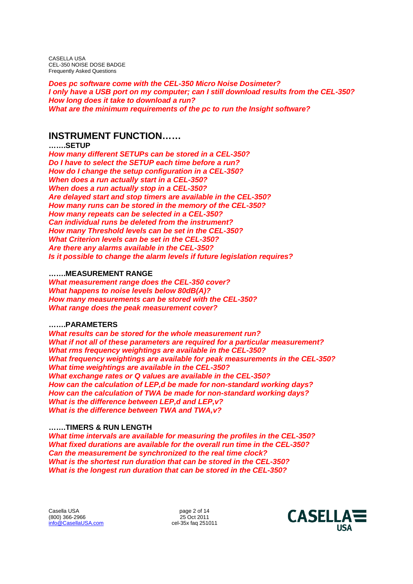*Does pc software come with the CEL-350 Micro Noise Dosimeter? I only have a USB port on my computer; can I still download results from the CEL-350? How long does it take to download a run? What are the minimum requirements of the pc to run the Insight software?*

# **INSTRUMENT FUNCTION……**

# **…….SETUP**

*How many different SETUPs can be stored in a CEL-350? Do I have to select the SETUP each time before a run? How do I change the setup configuration in a CEL-350? When does a run actually start in a CEL-350? When does a run actually stop in a CEL-350? Are delayed start and stop timers are available in the CEL-350? How many runs can be stored in the memory of the CEL-350? How many repeats can be selected in a CEL-350? Can individual runs be deleted from the instrument? How many Threshold levels can be set in the CEL-350? What Criterion levels can be set in the CEL-350? Are there any alarms available in the CEL-350? Is it possible to change the alarm levels if future legislation requires?*

# **…….MEASUREMENT RANGE**

*What measurement range does the CEL-350 cover? What happens to noise levels below 80dB(A)? How many measurements can be stored with the CEL-350? What range does the peak measurement cover?*

# **…….PARAMETERS**

*What results can be stored for the whole measurement run? What if not all of these parameters are required for a particular measurement? What rms frequency weightings are available in the CEL-350? What frequency weightings are available for peak measurements in the CEL-350? What time weightings are available in the CEL-350? What exchange rates or Q values are available in the CEL-350? How can the calculation of LEP,d be made for non-standard working days? How can the calculation of TWA be made for non-standard working days? What is the difference between LEP,d and LEP,v? What is the difference between TWA and TWA,v?*

# **…….TIMERS & RUN LENGTH**

*What time intervals are available for measuring the profiles in the CEL-350? What fixed durations are available for the overall run time in the CEL-350? Can the measurement be synchronized to the real time clock? What is the shortest run duration that can be stored in the CEL-350? What is the longest run duration that can be stored in the CEL-350?*

Casella USA by the case of 14<br>(800) 366-2966 cases by the case of 14 and 25 Oct 2011 (800) 366-2966 25 Oct 2011  $info@$ CasellaUSA.com

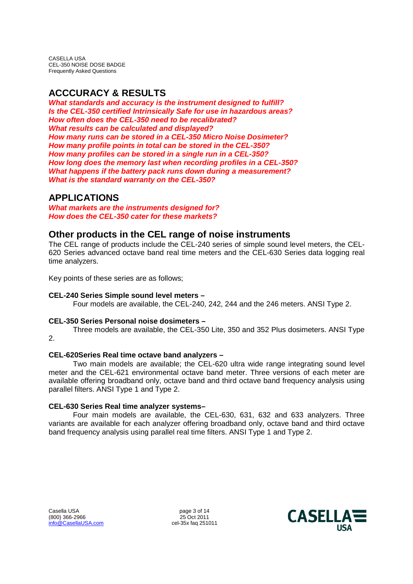# **ACCCURACY & RESULTS**

*What standards and accuracy is the instrument designed to fulfill? Is the CEL-350 certified Intrinsically Safe for use in hazardous areas? How often does the CEL-350 need to be recalibrated? What results can be calculated and displayed? How many runs can be stored in a CEL-350 Micro Noise Dosimeter? How many profile points in total can be stored in the CEL-350? How many profiles can be stored in a single run in a CEL-350? How long does the memory last when recording profiles in a CEL-350? What happens if the battery pack runs down during a measurement? What is the standard warranty on the CEL-350?*

# **APPLICATIONS**

*What markets are the instruments designed for? How does the CEL-350 cater for these markets?*

# **Other products in the CEL range of noise instruments**

The CEL range of products include the CEL-240 series of simple sound level meters, the CEL-620 Series advanced octave band real time meters and the CEL-630 Series data logging real time analyzers.

Key points of these series are as follows;

# **CEL-240 Series Simple sound level meters –**

Four models are available, the CEL-240, 242, 244 and the 246 meters. ANSI Type 2.

# **CEL-350 Series Personal noise dosimeters –**

Three models are available, the CEL-350 Lite, 350 and 352 Plus dosimeters. ANSI Type 2.

# **CEL-620Series Real time octave band analyzers –**

Two main models are available; the CEL-620 ultra wide range integrating sound level meter and the CEL-621 environmental octave band meter. Three versions of each meter are available offering broadband only, octave band and third octave band frequency analysis using parallel filters. ANSI Type 1 and Type 2.

# **CEL-630 Series Real time analyzer systems–**

Four main models are available, the CEL-630, 631, 632 and 633 analyzers. Three variants are available for each analyzer offering broadband only, octave band and third octave band frequency analysis using parallel real time filters. ANSI Type 1 and Type 2.

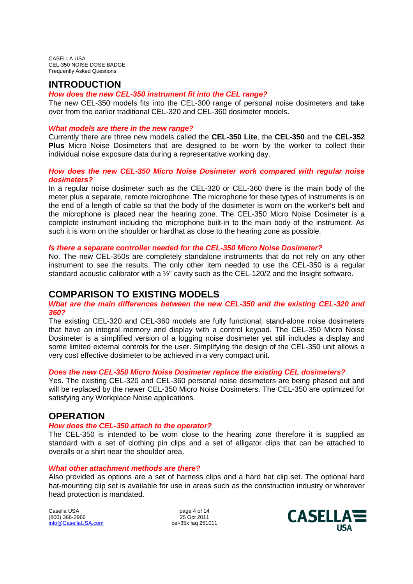# **INTRODUCTION**

# *How does the new CEL-350 instrument fit into the CEL range?*

The new CEL-350 models fits into the CEL-300 range of personal noise dosimeters and take over from the earlier traditional CEL-320 and CEL-360 dosimeter models.

# *What models are there in the new range?*

Currently there are three new models called the **CEL-350 Lite**, the **CEL-350** and the **CEL-352 Plus** Micro Noise Dosimeters that are designed to be worn by the worker to collect their individual noise exposure data during a representative working day.

# *How does the new CEL-350 Micro Noise Dosimeter work compared with regular noise dosimeters?*

In a regular noise dosimeter such as the CEL-320 or CEL-360 there is the main body of the meter plus a separate, remote microphone. The microphone for these types of instruments is on the end of a length of cable so that the body of the dosimeter is worn on the worker's belt and the microphone is placed near the hearing zone. The CEL-350 Micro Noise Dosimeter is a complete instrument including the microphone built-in to the main body of the instrument. As such it is worn on the shoulder or hardhat as close to the hearing zone as possible.

# *Is there a separate controller needed for the CEL-350 Micro Noise Dosimeter?*

No. The new CEL-350s are completely standalone instruments that do not rely on any other instrument to see the results. The only other item needed to use the CEL-350 is a regular standard acoustic calibrator with a ½" cavity such as the CEL-120/2 and the Insight software.

# **COMPARISON TO EXISTING MODELS**

# *What are the main differences between the new CEL-350 and the existing CEL-320 and 360?*

The existing CEL-320 and CEL-360 models are fully functional, stand-alone noise dosimeters that have an integral memory and display with a control keypad. The CEL-350 Micro Noise Dosimeter is a simplified version of a logging noise dosimeter yet still includes a display and some limited external controls for the user. Simplifying the design of the CEL-350 unit allows a very cost effective dosimeter to be achieved in a very compact unit.

# *Does the new CEL-350 Micro Noise Dosimeter replace the existing CEL dosimeters?*

Yes. The existing CEL-320 and CEL-360 personal noise dosimeters are being phased out and will be replaced by the newer CEL-350 Micro Noise Dosimeters. The CEL-350 are optimized for satisfying any Workplace Noise applications.

# **OPERATION**

# *How does the CEL-350 attach to the operator?*

The CEL-350 is intended to be worn close to the hearing zone therefore it is supplied as standard with a set of clothing pin clips and a set of alligator clips that can be attached to overalls or a shirt near the shoulder area.

# *What other attachment methods are there?*

Also provided as options are a set of harness clips and a hard hat clip set. The optional hard hat-mounting clip set is available for use in areas such as the construction industry or wherever head protection is mandated.

Casella USA page 4 of 14 (800) 366-2966 25 Oct 2011 info@CasellaUSA.com

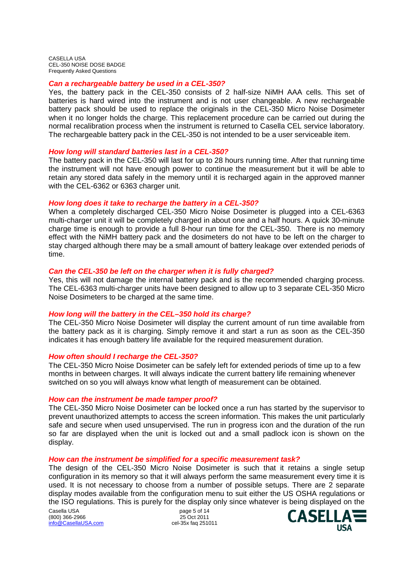#### *Can a rechargeable battery be used in a CEL-350?*

Yes, the battery pack in the CEL-350 consists of 2 half-size NiMH AAA cells. This set of batteries is hard wired into the instrument and is not user changeable. A new rechargeable battery pack should be used to replace the originals in the CEL-350 Micro Noise Dosimeter when it no longer holds the charge. This replacement procedure can be carried out during the normal recalibration process when the instrument is returned to Casella CEL service laboratory. The rechargeable battery pack in the CEL-350 is not intended to be a user serviceable item.

#### *How long will standard batteries last in a CEL-350?*

The battery pack in the CEL-350 will last for up to 28 hours running time. After that running time the instrument will not have enough power to continue the measurement but it will be able to retain any stored data safely in the memory until it is recharged again in the approved manner with the CEL-6362 or 6363 charger unit.

#### *How long does it take to recharge the battery in a CEL-350?*

When a completely discharged CEL-350 Micro Noise Dosimeter is plugged into a CEL-6363 multi-charger unit it will be completely charged in about one and a half hours. A quick 30-minute charge time is enough to provide a full 8-hour run time for the CEL-350. There is no memory effect with the NiMH battery pack and the dosimeters do not have to be left on the charger to stay charged although there may be a small amount of battery leakage over extended periods of time.

# *Can the CEL-350 be left on the charger when it is fully charged?*

Yes, this will not damage the internal battery pack and is the recommended charging process. The CEL-6363 multi-charger units have been designed to allow up to 3 separate CEL-350 Micro Noise Dosimeters to be charged at the same time.

# *How long will the battery in the CEL–350 hold its charge?*

The CEL-350 Micro Noise Dosimeter will display the current amount of run time available from the battery pack as it is charging. Simply remove it and start a run as soon as the CEL-350 indicates it has enough battery life available for the required measurement duration.

#### *How often should I recharge the CEL-350?*

The CEL-350 Micro Noise Dosimeter can be safely left for extended periods of time up to a few months in between charges. It will always indicate the current battery life remaining whenever switched on so you will always know what length of measurement can be obtained.

#### *How can the instrument be made tamper proof?*

The CEL-350 Micro Noise Dosimeter can be locked once a run has started by the supervisor to prevent unauthorized attempts to access the screen information. This makes the unit particularly safe and secure when used unsupervised. The run in progress icon and the duration of the run so far are displayed when the unit is locked out and a small padlock icon is shown on the display.

# *How can the instrument be simplified for a specific measurement task?*

The design of the CEL-350 Micro Noise Dosimeter is such that it retains a single setup configuration in its memory so that it will always perform the same measurement every time it is used. It is not necessary to choose from a number of possible setups. There are 2 separate display modes available from the configuration menu to suit either the US OSHA regulations or the ISO regulations. This is purely for the display only since whatever is being displayed on the

Casella USA by the case of 14<br>(800) 366-2966 cases by the case of 14 and 25 Oct 2011 (800) 366-2966 25 Oct 2011 info@CasellaUSA.com

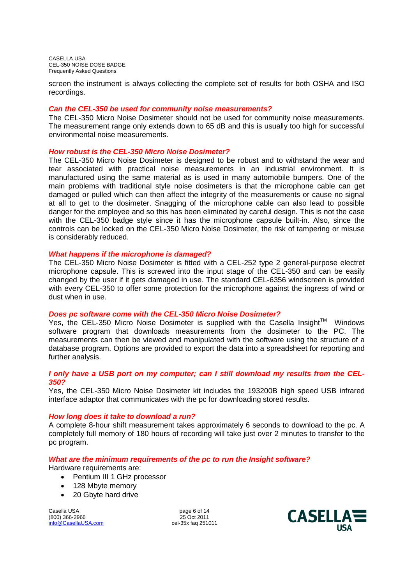screen the instrument is always collecting the complete set of results for both OSHA and ISO recordings.

# *Can the CEL-350 be used for community noise measurements?*

The CEL-350 Micro Noise Dosimeter should not be used for community noise measurements. The measurement range only extends down to 65 dB and this is usually too high for successful environmental noise measurements.

# *How robust is the CEL-350 Micro Noise Dosimeter?*

The CEL-350 Micro Noise Dosimeter is designed to be robust and to withstand the wear and tear associated with practical noise measurements in an industrial environment. It is manufactured using the same material as is used in many automobile bumpers. One of the main problems with traditional style noise dosimeters is that the microphone cable can get damaged or pulled which can then affect the integrity of the measurements or cause no signal at all to get to the dosimeter. Snagging of the microphone cable can also lead to possible danger for the employee and so this has been eliminated by careful design. This is not the case with the CEL-350 badge style since it has the microphone capsule built-in. Also, since the controls can be locked on the CEL-350 Micro Noise Dosimeter, the risk of tampering or misuse is considerably reduced.

# *What happens if the microphone is damaged?*

The CEL-350 Micro Noise Dosimeter is fitted with a CEL-252 type 2 general-purpose electret microphone capsule. This is screwed into the input stage of the CEL-350 and can be easily changed by the user if it gets damaged in use. The standard CEL-6356 windscreen is provided with every CEL-350 to offer some protection for the microphone against the ingress of wind or dust when in use.

# *Does pc software come with the CEL-350 Micro Noise Dosimeter?*

Yes, the CEL-350 Micro Noise Dosimeter is supplied with the Casella Insight<sup>TM</sup> Windows software program that downloads measurements from the dosimeter to the PC. The measurements can then be viewed and manipulated with the software using the structure of a database program. Options are provided to export the data into a spreadsheet for reporting and further analysis.

# *I only have a USB port on my computer; can I still download my results from the CEL-350?*

Yes, the CEL-350 Micro Noise Dosimeter kit includes the 193200B high speed USB infrared interface adaptor that communicates with the pc for downloading stored results.

# *How long does it take to download a run?*

A complete 8-hour shift measurement takes approximately 6 seconds to download to the pc. A completely full memory of 180 hours of recording will take just over 2 minutes to transfer to the pc program.

# *What are the minimum requirements of the pc to run the Insight software?*

Hardware requirements are:

- Pentium III 1 GHz processor
- 128 Mbyte memory
- 20 Gbyte hard drive

Casella USA page 6 of 14 (800) 366-2966 25 Oct 2011 info@CasellaUSA.com

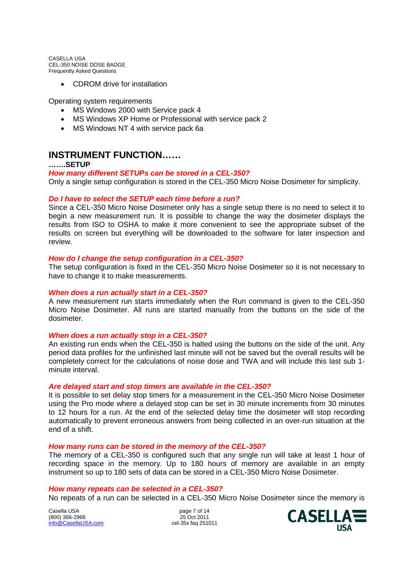• CDROM drive for installation

Operating system requirements

- MS Windows 2000 with Service pack 4
- MS Windows XP Home or Professional with service pack 2
- MS Windows NT 4 with service pack 6a

# **INSTRUMENT FUNCTION……**

# **…….SETUP**

# *How many different SETUPs can be stored in a CEL-350?*

Only a single setup configuration is stored in the CEL-350 Micro Noise Dosimeter for simplicity.

#### *Do I have to select the SETUP each time before a run?*

Since a CEL-350 Micro Noise Dosimeter only has a single setup there is no need to select it to begin a new measurement run. It is possible to change the way the dosimeter displays the results from ISO to OSHA to make it more convenient to see the appropriate subset of the results on screen but everything will be downloaded to the software for later inspection and review.

#### *How do I change the setup configuration in a CEL-350?*

The setup configuration is fixed in the CEL-350 Micro Noise Dosimeter so it is not necessary to have to change it to make measurements.

# *When does a run actually start in a CEL-350?*

A new measurement run starts immediately when the Run command is given to the CEL-350 Micro Noise Dosimeter. All runs are started manually from the buttons on the side of the dosimeter.

#### *When does a run actually stop in a CEL-350?*

An existing run ends when the CEL-350 is halted using the buttons on the side of the unit. Any period data profiles for the unfinished last minute will not be saved but the overall results will be completely correct for the calculations of noise dose and TWA and will include this last sub 1 minute interval.

#### *Are delayed start and stop timers are available in the CEL-350?*

It is possible to set delay stop timers for a measurement in the CEL-350 Micro Noise Dosimeter using the Pro mode where a delayed stop can be set in 30 minute increments from 30 minutes to 12 hours for a run. At the end of the selected delay time the dosimeter will stop recording automatically to prevent erroneous answers from being collected in an over-run situation at the end of a shift.

#### *How many runs can be stored in the memory of the CEL-350?*

The memory of a CEL-350 is configured such that any single run will take at least 1 hour of recording space in the memory. Up to 180 hours of memory are available in an empty instrument so up to 180 sets of data can be stored in a CEL-350 Micro Noise Dosimeter.

# *How many repeats can be selected in a CEL-350?*

No repeats of a run can be selected in a CEL-350 Micro Noise Dosimeter since the memory is

Casella USA by the case of 14<br>(800) 366-2966 cases by the case of 14 and 25 Oct 2011 (800) 366-2966 25 Oct 2011<br>
info@CasellaUSA.com 25 Oct 2011 info@CasellaUSA.com

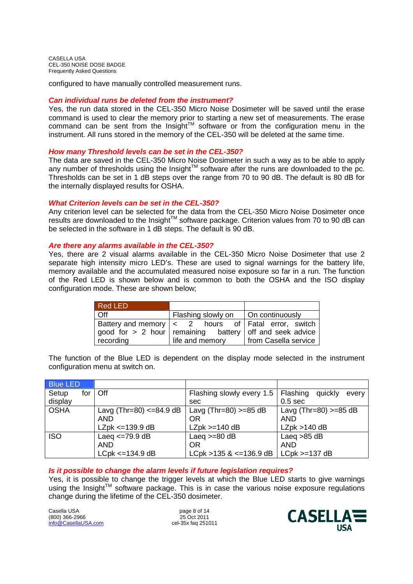configured to have manually controlled measurement runs.

# *Can individual runs be deleted from the instrument?*

Yes, the run data stored in the CEL-350 Micro Noise Dosimeter will be saved until the erase command is used to clear the memory prior to starting a new set of measurements. The erase command can be sent from the Insight<sup>TM</sup> software or from the configuration menu in the instrument. All runs stored in the memory of the CEL-350 will be deleted at the same time.

# *How many Threshold levels can be set in the CEL-350?*

The data are saved in the CEL-350 Micro Noise Dosimeter in such a way as to be able to apply any number of thresholds using the Insight<sup>TM</sup> software after the runs are downloaded to the pc. Thresholds can be set in 1 dB steps over the range from 70 to 90 dB. The default is 80 dB for the internally displayed results for OSHA.

# *What Criterion levels can be set in the CEL-350?*

Any criterion level can be selected for the data from the CEL-350 Micro Noise Dosimeter once results are downloaded to the Insight™ software package. Criterion values from 70 to 90 dB can be selected in the software in 1 dB steps. The default is 90 dB.

# *Are there any alarms available in the CEL-350?*

Yes, there are 2 visual alarms available in the CEL-350 Micro Noise Dosimeter that use 2 separate high intensity micro LED's. These are used to signal warnings for the battery life, memory available and the accumulated measured noise exposure so far in a run. The function of the Red LED is shown below and is common to both the OSHA and the ISO display configuration mode. These are shown below;

| Red LED   |                                                               |                                                               |
|-----------|---------------------------------------------------------------|---------------------------------------------------------------|
| Off       | Flashing slowly on   On continuously                          |                                                               |
|           | good for $> 2$ hour   remaining battery   off and seek advice | Battery and memory $\vert \lt 2$ hours of Fatal error, switch |
| recording | life and memory                                               | from Casella service                                          |

The function of the Blue LED is dependent on the display mode selected in the instrument configuration menu at switch on.

| <b>Blue LED</b> |                          |                                |                              |
|-----------------|--------------------------|--------------------------------|------------------------------|
| Setup<br>for    | Off                      | Flashing slowly every 1.5      | Flashing<br>quickly<br>every |
| display         |                          | sec                            | 0.5 <sub>sec</sub>           |
| <b>OSHA</b>     | Lavg (Thr=80) <= 84.9 dB | Lavg (Thr=80) $>=85 dB$        | Lavg (Thr=80) $>=85 dB$      |
|                 | <b>AND</b>               | OR                             | <b>AND</b>                   |
|                 | $LZpk \leq 139.9 dB$     | $LZpk >= 140 dB$               | LZpk > 140 dB                |
| <b>ISO</b>      | Laeg $\leq$ 79.9 dB      | Laeg $>=80$ dB                 | Laeg $>85$ dB                |
|                 | <b>AND</b>               | OR                             | <b>AND</b>                   |
|                 | $LCpk < = 134.9 dB$      | $LCpk > 135$ & $\leq$ 136.9 dB | $LCpk >= 137 dB$             |

# *Is it possible to change the alarm levels if future legislation requires?*

Yes, it is possible to change the trigger levels at which the Blue LED starts to give warnings using the Insight™ software package. This is in case the various noise exposure regulations change during the lifetime of the CEL-350 dosimeter.

Casella USA page 8 of 14 (800) 366-2966 25 Oct 2011 info@CasellaUSA.com

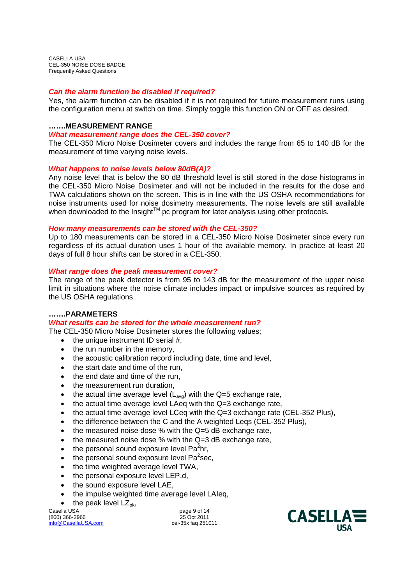# *Can the alarm function be disabled if required?*

Yes, the alarm function can be disabled if it is not required for future measurement runs using the configuration menu at switch on time. Simply toggle this function ON or OFF as desired.

# **…….MEASUREMENT RANGE**

# *What measurement range does the CEL-350 cover?*

The CEL-350 Micro Noise Dosimeter covers and includes the range from 65 to 140 dB for the measurement of time varying noise levels.

# *What happens to noise levels below 80dB(A)?*

Any noise level that is below the 80 dB threshold level is still stored in the dose histograms in the CEL-350 Micro Noise Dosimeter and will not be included in the results for the dose and TWA calculations shown on the screen. This is in line with the US OSHA recommendations for noise instruments used for noise dosimetry measurements. The noise levels are still available when downloaded to the Insight<sup> $TM$ </sup> pc program for later analysis using other protocols.

#### *How many measurements can be stored with the CEL-350?*

Up to 180 measurements can be stored in a CEL-350 Micro Noise Dosimeter since every run regardless of its actual duration uses 1 hour of the available memory. In practice at least 20 days of full 8 hour shifts can be stored in a CEL-350.

# *What range does the peak measurement cover?*

The range of the peak detector is from 95 to 143 dB for the measurement of the upper noise limit in situations where the noise climate includes impact or impulsive sources as required by the US OSHA regulations.

# **…….PARAMETERS**

# *What results can be stored for the whole measurement run?*

The CEL-350 Micro Noise Dosimeter stores the following values;

- $\bullet$  the unique instrument ID serial #,
- the run number in the memory,
- the acoustic calibration record including date, time and level,
- the start date and time of the run.
- $\bullet$  the end date and time of the run.
- the measurement run duration,
- the actual time average level  $(L_{\text{avg}})$  with the Q=5 exchange rate,
- the actual time average level LAeq with the Q=3 exchange rate,
- $\bullet$  the actual time average level LCeq with the Q=3 exchange rate (CEL-352 Plus),
- the difference between the C and the A weighted Legs (CEL-352 Plus),
- the measured noise dose % with the Q=5 dB exchange rate,
- the measured noise dose % with the Q=3 dB exchange rate,
- $\bullet$  the personal sound exposure level Pa<sup>2</sup>hr,
- $\bullet$  the personal sound exposure level Pa<sup>2</sup>sec,
- the time weighted average level TWA,
- the personal exposure level LEP,d,
- the sound exposure level LAE,
- the impulse weighted time average level LAIeq,
- $\bullet$  the peak level  $LZ_{\text{pk}}$ ,

Casella USA **page 9 of 14** (800) 366-2966 25 Oct 2011 info@CasellaUSA.com

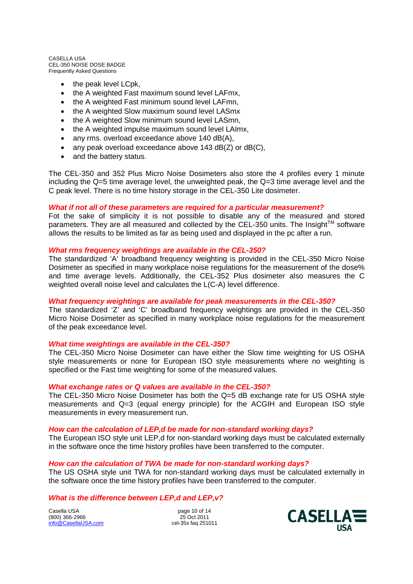- $\bullet$  the peak level LCpk,
- the A weighted Fast maximum sound level LAFmx,
- the A weighted Fast minimum sound level LAFmn,
- the A weighted Slow maximum sound level LASmx
- the A weighted Slow minimum sound level LASmn,
- the A weighted impulse maximum sound level LAImx,
- any rms. overload exceedance above 140 dB(A),
- any peak overload exceedance above 143 dB(Z) or dB(C),
- and the battery status.

The CEL-350 and 352 Plus Micro Noise Dosimeters also store the 4 profiles every 1 minute including the Q=5 time average level, the unweighted peak, the Q=3 time average level and the C peak level. There is no time history storage in the CEL-350 Lite dosimeter.

# *What if not all of these parameters are required for a particular measurement?*

Fot the sake of simplicity it is not possible to disable any of the measured and stored parameters. They are all measured and collected by the CEL-350 units. The Insight<sup>TM</sup> software allows the results to be limited as far as being used and displayed in the pc after a run.

# *What rms frequency weightings are available in the CEL-350?*

The standardized 'A' broadband frequency weighting is provided in the CEL-350 Micro Noise Dosimeter as specified in many workplace noise regulations for the measurement of the dose% and time average levels. Additionally, the CEL-352 Plus dosimeter also measures the C weighted overall noise level and calculates the L(C-A) level difference.

# *What frequency weightings are available for peak measurements in the CEL-350?*

The standardized 'Z' and 'C' broadband frequency weightings are provided in the CEL-350 Micro Noise Dosimeter as specified in many workplace noise regulations for the measurement of the peak exceedance level.

# *What time weightings are available in the CEL-350?*

The CEL-350 Micro Noise Dosimeter can have either the Slow time weighting for US OSHA style measurements or none for European ISO style measurements where no weighting is specified or the Fast time weighting for some of the measured values.

# *What exchange rates or Q values are available in the CEL-350?*

The CEL-350 Micro Noise Dosimeter has both the Q=5 dB exchange rate for US OSHA style measurements and Q=3 (equal energy principle) for the ACGIH and European ISO style measurements in every measurement run.

# *How can the calculation of LEP,d be made for non-standard working days?*

The European ISO style unit LEP,d for non-standard working days must be calculated externally in the software once the time history profiles have been transferred to the computer.

# *How can the calculation of TWA be made for non-standard working days?*

The US OSHA style unit TWA for non-standard working days must be calculated externally in the software once the time history profiles have been transferred to the computer.

# *What is the difference between LEP,d and LEP,v?*

Casella USA page 10 of 14 (800) 366-2966 25 Oct 2011 info@CasellaUSA.com

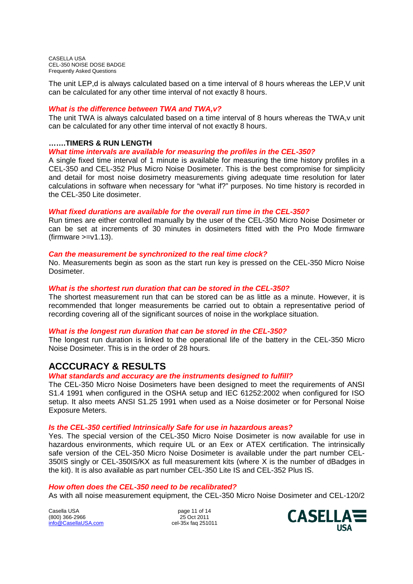The unit LEP,d is always calculated based on a time interval of 8 hours whereas the LEP,V unit can be calculated for any other time interval of not exactly 8 hours.

# *What is the difference between TWA and TWA,v?*

The unit TWA is always calculated based on a time interval of 8 hours whereas the TWA,v unit can be calculated for any other time interval of not exactly 8 hours.

# **…….TIMERS & RUN LENGTH**

*What time intervals are available for measuring the profiles in the CEL-350?*

A single fixed time interval of 1 minute is available for measuring the time history profiles in a CEL-350 and CEL-352 Plus Micro Noise Dosimeter. This is the best compromise for simplicity and detail for most noise dosimetry measurements giving adequate time resolution for later calculations in software when necessary for "what if?" purposes. No time history is recorded in the CEL-350 Lite dosimeter.

# *What fixed durations are available for the overall run time in the CEL-350?*

Run times are either controlled manually by the user of the CEL-350 Micro Noise Dosimeter or can be set at increments of 30 minutes in dosimeters fitted with the Pro Mode firmware  $(firmware >=v1.13)$ .

# *Can the measurement be synchronized to the real time clock?*

No. Measurements begin as soon as the start run key is pressed on the CEL-350 Micro Noise Dosimeter.

# *What is the shortest run duration that can be stored in the CEL-350?*

The shortest measurement run that can be stored can be as little as a minute. However, it is recommended that longer measurements be carried out to obtain a representative period of recording covering all of the significant sources of noise in the workplace situation.

# *What is the longest run duration that can be stored in the CEL-350?*

The longest run duration is linked to the operational life of the battery in the CEL-350 Micro Noise Dosimeter. This is in the order of 28 hours.

# **ACCCURACY & RESULTS**

*What standards and accuracy are the instruments designed to fulfill?*

The CEL-350 Micro Noise Dosimeters have been designed to meet the requirements of ANSI S1.4 1991 when configured in the OSHA setup and IEC 61252:2002 when configured for ISO setup. It also meets ANSI S1.25 1991 when used as a Noise dosimeter or for Personal Noise Exposure Meters.

# *Is the CEL-350 certified Intrinsically Safe for use in hazardous areas?*

Yes. The special version of the CEL-350 Micro Noise Dosimeter is now available for use in hazardous environments, which require UL or an Eex or ATEX certification. The intrinsically safe version of the CEL-350 Micro Noise Dosimeter is available under the part number CEL-350IS singly or CEL-350IS/KX as full measurement kits (where X is the number of dBadges in the kit). It is also available as part number CEL-350 Lite IS and CEL-352 Plus IS.

# *How often does the CEL-350 need to be recalibrated?*

As with all noise measurement equipment, the CEL-350 Micro Noise Dosimeter and CEL-120/2

Casella USA **page 11 of 14** (800) 366-2966 25 Oct 2011<br>
info@CasellaUSA.com 25 Oct 2011  $info@$ CasellaUSA.com

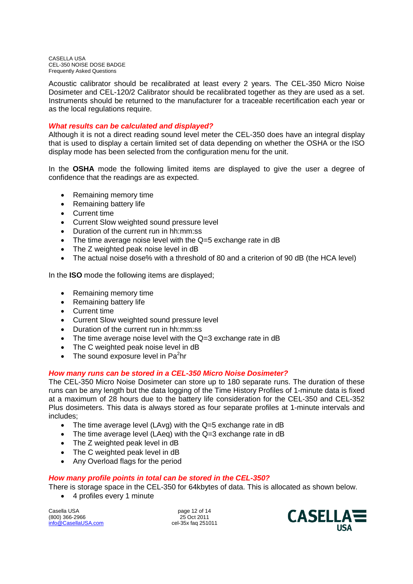Acoustic calibrator should be recalibrated at least every 2 years. The CEL-350 Micro Noise Dosimeter and CEL-120/2 Calibrator should be recalibrated together as they are used as a set. Instruments should be returned to the manufacturer for a traceable recertification each year or as the local regulations require.

# *What results can be calculated and displayed?*

Although it is not a direct reading sound level meter the CEL-350 does have an integral display that is used to display a certain limited set of data depending on whether the OSHA or the ISO display mode has been selected from the configuration menu for the unit.

In the **OSHA** mode the following limited items are displayed to give the user a degree of confidence that the readings are as expected.

- Remaining memory time
- Remaining battery life
- Current time
- Current Slow weighted sound pressure level
- Duration of the current run in hh:mm:ss
- The time average noise level with the Q=5 exchange rate in dB
- The Z weighted peak noise level in dB
- The actual noise dose% with a threshold of 80 and a criterion of 90 dB (the HCA level)

In the **ISO** mode the following items are displayed;

- Remaining memory time
- Remaining battery life
- Current time
- Current Slow weighted sound pressure level
- Duration of the current run in hh:mm:ss
- The time average noise level with the Q=3 exchange rate in dB
- The C weighted peak noise level in dB
- The sound exposure level in Pa ${}^{2}$ hr

# *How many runs can be stored in a CEL-350 Micro Noise Dosimeter?*

The CEL-350 Micro Noise Dosimeter can store up to 180 separate runs. The duration of these runs can be any length but the data logging of the Time History Profiles of 1-minute data is fixed at a maximum of 28 hours due to the battery life consideration for the CEL-350 and CEL-352 Plus dosimeters. This data is always stored as four separate profiles at 1-minute intervals and includes;

- The time average level (LAvg) with the Q=5 exchange rate in dB
- The time average level (LAeg) with the Q=3 exchange rate in dB
- The Z weighted peak level in dB
- The C weighted peak level in dB
- Any Overload flags for the period

# *How many profile points in total can be stored in the CEL-350?*

There is storage space in the CEL-350 for 64kbytes of data. This is allocated as shown below.

4 profiles every 1 minute

Casella USA page 12 of 14 (800) 366-2966 25 Oct 2011 info@CasellaUSA.com

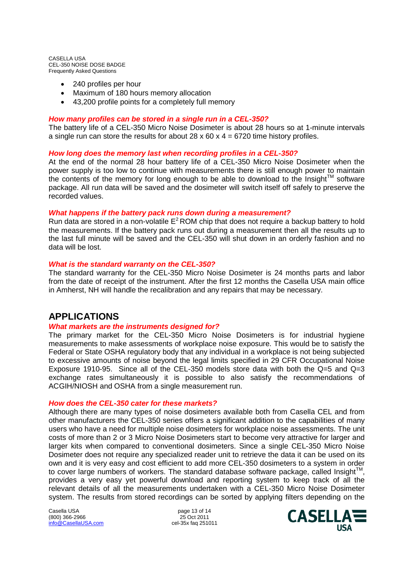- 240 profiles per hour
- Maximum of 180 hours memory allocation
- 43,200 profile points for a completely full memory

# *How many profiles can be stored in a single run in a CEL-350?*

The battery life of a CEL-350 Micro Noise Dosimeter is about 28 hours so at 1-minute intervals a single run can store the results for about  $28 \times 60 \times 4 = 6720$  time history profiles.

# *How long does the memory last when recording profiles in a CEL-350?*

At the end of the normal 28 hour battery life of a CEL-350 Micro Noise Dosimeter when the power supply is too low to continue with measurements there is still enough power to maintain the contents of the memory for long enough to be able to download to the Insight<sup>™</sup> software package. All run data will be saved and the dosimeter will switch itself off safely to preserve the recorded values.

# *What happens if the battery pack runs down during a measurement?*

Run data are stored in a non-volatile  $E^2$  ROM chip that does not require a backup battery to hold the measurements. If the battery pack runs out during a measurement then all the results up to the last full minute will be saved and the CEL-350 will shut down in an orderly fashion and no data will be lost.

# *What is the standard warranty on the CEL-350?*

The standard warranty for the CEL-350 Micro Noise Dosimeter is 24 months parts and labor from the date of receipt of the instrument. After the first 12 months the Casella USA main office in Amherst, NH will handle the recalibration and any repairs that may be necessary.

# **APPLICATIONS**

# *What markets are the instruments designed for?*

The primary market for the CEL-350 Micro Noise Dosimeters is for industrial hygiene measurements to make assessments of workplace noise exposure. This would be to satisfy the Federal or State OSHA regulatory body that any individual in a workplace is not being subjected to excessive amounts of noise beyond the legal limits specified in 29 CFR Occupational Noise Exposure 1910-95. Since all of the CEL-350 models store data with both the  $Q=5$  and  $Q=3$ exchange rates simultaneously it is possible to also satisfy the recommendations of ACGIH/NIOSH and OSHA from a single measurement run.

# *How does the CEL-350 cater for these markets?*

Although there are many types of noise dosimeters available both from Casella CEL and from other manufacturers the CEL-350 series offers a significant addition to the capabilities of many users who have a need for multiple noise dosimeters for workplace noise assessments. The unit costs of more than 2 or 3 Micro Noise Dosimeters start to become very attractive for larger and larger kits when compared to conventional dosimeters. Since a single CEL-350 Micro Noise Dosimeter does not require any specialized reader unit to retrieve the data it can be used on its own and it is very easy and cost efficient to add more CEL-350 dosimeters to a system in order to cover large numbers of workers. The standard database software package, called Insight<sup>™</sup>, provides a very easy yet powerful download and reporting system to keep track of all the relevant details of all the measurements undertaken with a CEL-350 Micro Noise Dosimeter system. The results from stored recordings can be sorted by applying filters depending on the

Casella USA page 13 of 14 (800) 366-2966 25 Oct 2011<br>
info@CasellaUSA.com 25 Oct 2011  $info@$ CasellaUSA.com